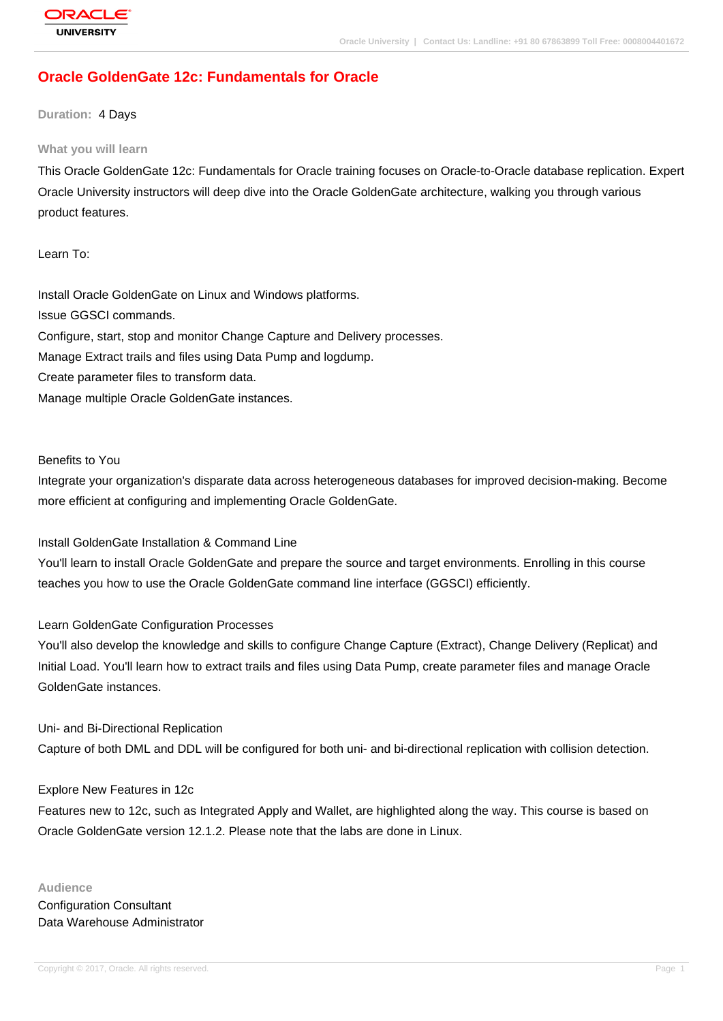# **[Oracle Golden](http://education.oracle.com/pls/web_prod-plq-dad/db_pages.getpage?page_id=3)Gate 12c: Fundamentals for Oracle**

### **Duration:** 4 Days

#### **What you will learn**

This Oracle GoldenGate 12c: Fundamentals for Oracle training focuses on Oracle-to-Oracle database replication. Expert Oracle University instructors will deep dive into the Oracle GoldenGate architecture, walking you through various product features.

Learn To:

Install Oracle GoldenGate on Linux and Windows platforms. Issue GGSCI commands. Configure, start, stop and monitor Change Capture and Delivery processes. Manage Extract trails and files using Data Pump and logdump. Create parameter files to transform data. Manage multiple Oracle GoldenGate instances.

Benefits to You

Integrate your organization's disparate data across heterogeneous databases for improved decision-making. Become more efficient at configuring and implementing Oracle GoldenGate.

Install GoldenGate Installation & Command Line

You'll learn to install Oracle GoldenGate and prepare the source and target environments. Enrolling in this course teaches you how to use the Oracle GoldenGate command line interface (GGSCI) efficiently.

## Learn GoldenGate Configuration Processes

You'll also develop the knowledge and skills to configure Change Capture (Extract), Change Delivery (Replicat) and Initial Load. You'll learn how to extract trails and files using Data Pump, create parameter files and manage Oracle GoldenGate instances.

Uni- and Bi-Directional Replication

Capture of both DML and DDL will be configured for both uni- and bi-directional replication with collision detection.

## Explore New Features in 12c

Features new to 12c, such as Integrated Apply and Wallet, are highlighted along the way. This course is based on Oracle GoldenGate version 12.1.2. Please note that the labs are done in Linux.

**Audience** Configuration Consultant Data Warehouse Administrator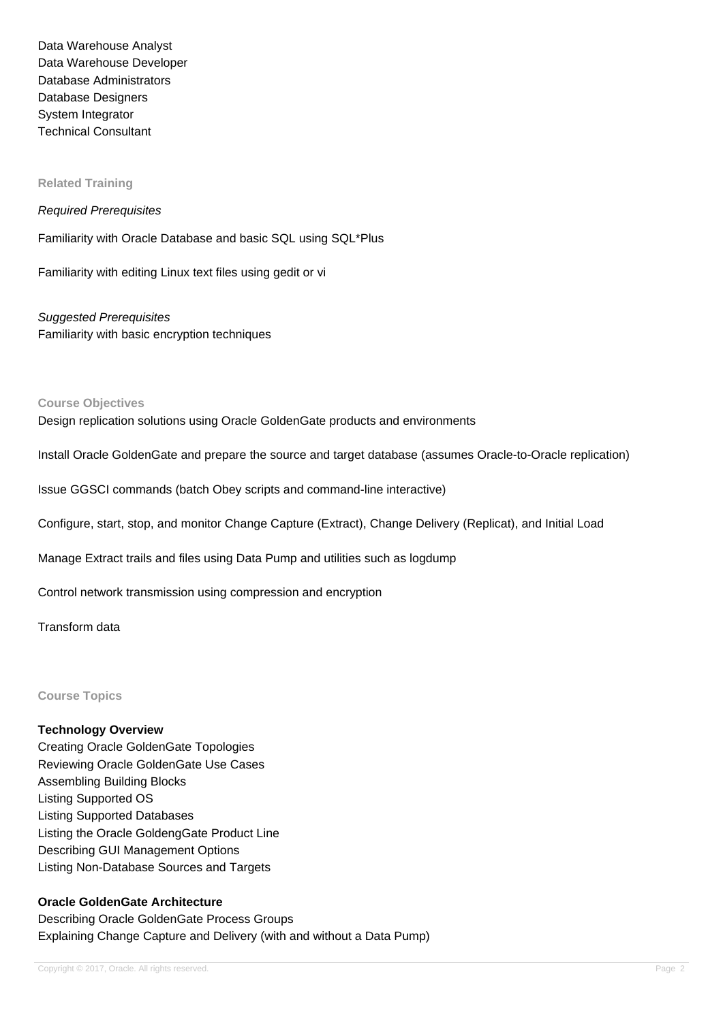Data Warehouse Analyst Data Warehouse Developer Database Administrators Database Designers System Integrator Technical Consultant

### **Related Training**

#### Required Prerequisites

Familiarity with Oracle Database and basic SQL using SQL\*Plus

Familiarity with editing Linux text files using gedit or vi

Suggested Prerequisites Familiarity with basic encryption techniques

### **Course Objectives**

Design replication solutions using Oracle GoldenGate products and environments

Install Oracle GoldenGate and prepare the source and target database (assumes Oracle-to-Oracle replication)

Issue GGSCI commands (batch Obey scripts and command-line interactive)

Configure, start, stop, and monitor Change Capture (Extract), Change Delivery (Replicat), and Initial Load

Manage Extract trails and files using Data Pump and utilities such as logdump

Control network transmission using compression and encryption

Transform data

**Course Topics**

### **Technology Overview**

Creating Oracle GoldenGate Topologies Reviewing Oracle GoldenGate Use Cases Assembling Building Blocks Listing Supported OS Listing Supported Databases Listing the Oracle GoldengGate Product Line Describing GUI Management Options Listing Non-Database Sources and Targets

## **Oracle GoldenGate Architecture**

Describing Oracle GoldenGate Process Groups Explaining Change Capture and Delivery (with and without a Data Pump)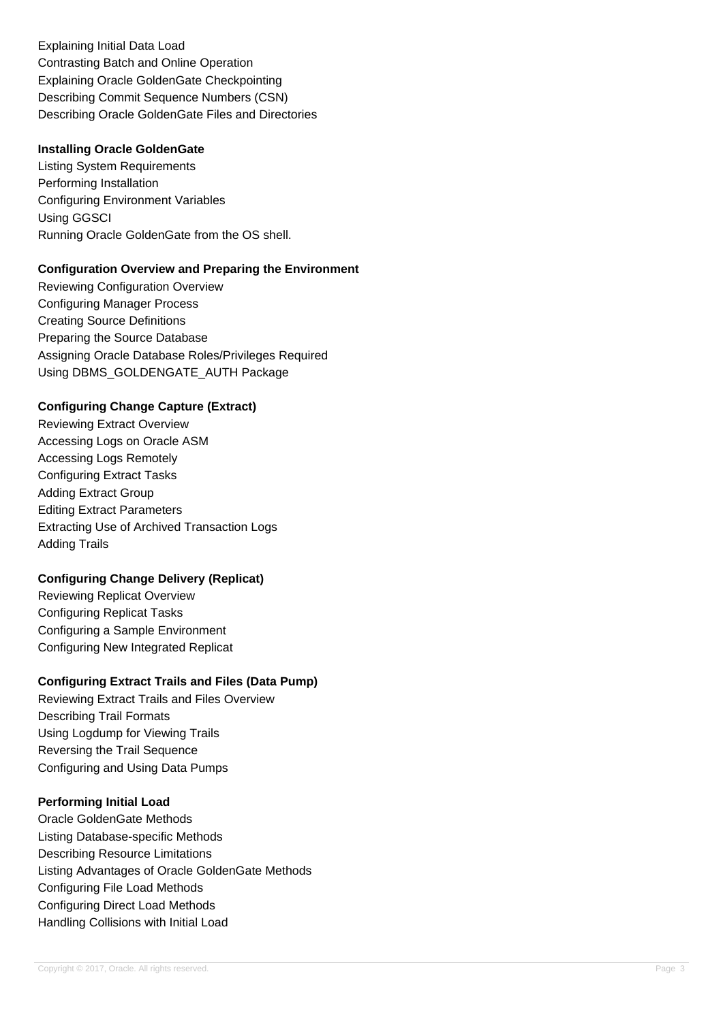Explaining Initial Data Load Contrasting Batch and Online Operation Explaining Oracle GoldenGate Checkpointing Describing Commit Sequence Numbers (CSN) Describing Oracle GoldenGate Files and Directories

### **Installing Oracle GoldenGate**

Listing System Requirements Performing Installation Configuring Environment Variables Using GGSCI Running Oracle GoldenGate from the OS shell.

### **Configuration Overview and Preparing the Environment**

Reviewing Configuration Overview Configuring Manager Process Creating Source Definitions Preparing the Source Database Assigning Oracle Database Roles/Privileges Required Using DBMS\_GOLDENGATE\_AUTH Package

## **Configuring Change Capture (Extract)**

Reviewing Extract Overview Accessing Logs on Oracle ASM Accessing Logs Remotely Configuring Extract Tasks Adding Extract Group Editing Extract Parameters Extracting Use of Archived Transaction Logs Adding Trails

## **Configuring Change Delivery (Replicat)**

Reviewing Replicat Overview Configuring Replicat Tasks Configuring a Sample Environment Configuring New Integrated Replicat

## **Configuring Extract Trails and Files (Data Pump)**

Reviewing Extract Trails and Files Overview Describing Trail Formats Using Logdump for Viewing Trails Reversing the Trail Sequence Configuring and Using Data Pumps

## **Performing Initial Load**

Oracle GoldenGate Methods Listing Database-specific Methods Describing Resource Limitations Listing Advantages of Oracle GoldenGate Methods Configuring File Load Methods Configuring Direct Load Methods Handling Collisions with Initial Load